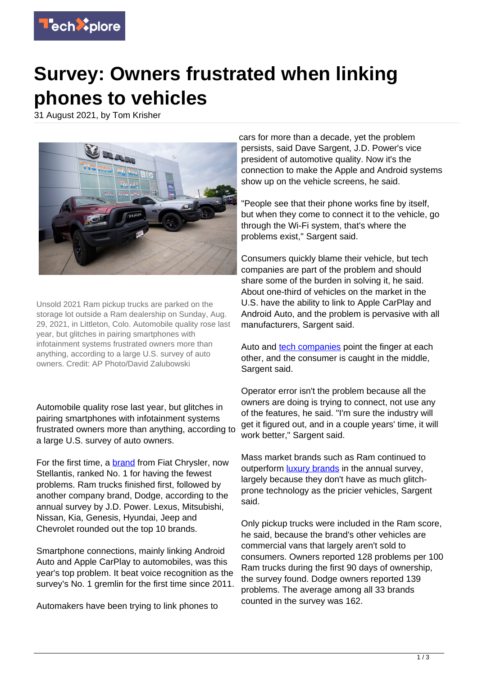

## **Survey: Owners frustrated when linking phones to vehicles**

31 August 2021, by Tom Krisher



Unsold 2021 Ram pickup trucks are parked on the storage lot outside a Ram dealership on Sunday, Aug. 29, 2021, in Littleton, Colo. Automobile quality rose last year, but glitches in pairing smartphones with infotainment systems frustrated owners more than anything, according to a large U.S. survey of auto owners. Credit: AP Photo/David Zalubowski

Automobile quality rose last year, but glitches in pairing smartphones with infotainment systems frustrated owners more than anything, according to a large U.S. survey of auto owners.

For the first time, a **brand** from Fiat Chrysler, now Stellantis, ranked No. 1 for having the fewest problems. Ram trucks finished first, followed by another company brand, Dodge, according to the annual survey by J.D. Power. Lexus, Mitsubishi, Nissan, Kia, Genesis, Hyundai, Jeep and Chevrolet rounded out the top 10 brands.

Smartphone connections, mainly linking Android Auto and Apple CarPlay to automobiles, was this year's top problem. It beat voice recognition as the survey's No. 1 gremlin for the first time since 2011.

Automakers have been trying to link phones to

cars for more than a decade, yet the problem persists, said Dave Sargent, J.D. Power's vice president of automotive quality. Now it's the connection to make the Apple and Android systems show up on the vehicle screens, he said.

"People see that their phone works fine by itself, but when they come to connect it to the vehicle, go through the Wi-Fi system, that's where the problems exist," Sargent said.

Consumers quickly blame their vehicle, but tech companies are part of the problem and should share some of the burden in solving it, he said. About one-third of vehicles on the market in the U.S. have the ability to link to Apple CarPlay and Android Auto, and the problem is pervasive with all manufacturers, Sargent said.

Auto and [tech companies](https://techxplore.com/tags/tech+companies/) point the finger at each other, and the consumer is caught in the middle, Sargent said.

Operator error isn't the problem because all the owners are doing is trying to connect, not use any of the features, he said. "I'm sure the industry will get it figured out, and in a couple years' time, it will work better." Sargent said.

Mass market brands such as Ram continued to outperform **luxury brands** in the annual survey, largely because they don't have as much glitchprone technology as the pricier vehicles, Sargent said.

Only pickup trucks were included in the Ram score, he said, because the brand's other vehicles are commercial vans that largely aren't sold to consumers. Owners reported 128 problems per 100 Ram trucks during the first 90 days of ownership, the survey found. Dodge owners reported 139 problems. The average among all 33 brands counted in the survey was 162.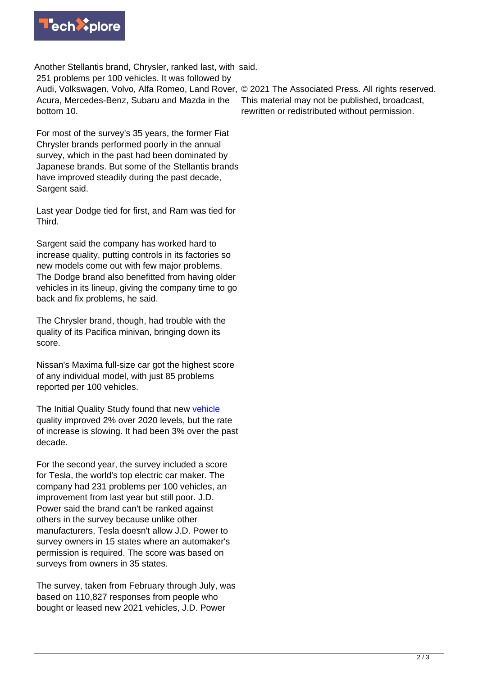

Another Stellantis brand, Chrysler, ranked last, with said. 251 problems per 100 vehicles. It was followed by Audi, Volkswagen, Volvo, Alfa Romeo, Land Rover, © 2021 The Associated Press. All rights reserved. Acura, Mercedes-Benz, Subaru and Mazda in the bottom 10.

For most of the survey's 35 years, the former Fiat Chrysler brands performed poorly in the annual survey, which in the past had been dominated by Japanese brands. But some of the Stellantis brands have improved steadily during the past decade, Sargent said.

Last year Dodge tied for first, and Ram was tied for Third.

Sargent said the company has worked hard to increase quality, putting controls in its factories so new models come out with few major problems. The Dodge brand also benefitted from having older vehicles in its lineup, giving the company time to go back and fix problems, he said.

The Chrysler brand, though, had trouble with the quality of its Pacifica minivan, bringing down its score.

Nissan's Maxima full-size car got the highest score of any individual model, with just 85 problems reported per 100 vehicles.

The Initial Quality Study found that new [vehicle](https://techxplore.com/tags/vehicle/) quality improved 2% over 2020 levels, but the rate of increase is slowing. It had been 3% over the past decade.

For the second year, the survey included a score for Tesla, the world's top electric car maker. The company had 231 problems per 100 vehicles, an improvement from last year but still poor. J.D. Power said the brand can't be ranked against others in the survey because unlike other manufacturers, Tesla doesn't allow J.D. Power to survey owners in 15 states where an automaker's permission is required. The score was based on surveys from owners in 35 states.

The survey, taken from February through July, was based on 110,827 responses from people who bought or leased new 2021 vehicles, J.D. Power

This material may not be published, broadcast, rewritten or redistributed without permission.